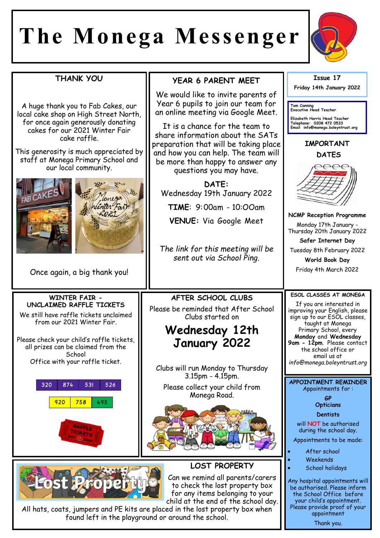## **The Monega Messenger**



| <b>THANK YOU</b><br>A huge thank you to Fab Cakes, our<br>local cake shop on High Street North,<br>for once again generously donating<br>cakes for our 2021 Winter Fair<br>cake raffle.<br>This generosity is much appreciated by<br>staff at Monega Primary School and<br>our local community.<br>Once again, a big thank you! | <b>YEAR 6 PARENT MEET</b><br>We would like to invite parents of<br>Year 6 pupils to join our team for<br>an online meeting via Google Meet.<br>It is a chance for the team to<br>share information about the SATs<br>preparation that will be taking place<br>and how you can help. The team will<br>be more than happy to answer any<br>questions you may have.<br>DATE:<br>Wednesday 19th January 2022<br><b>TIME: 9:00am - 10:00am</b><br>VENUE: Via Google Meet<br>The link for this meeting will be<br>sent out via School Ping. | Issue 17<br>Friday 14th January 2022<br>Tom Canning<br><b>Executive Head Teacher</b><br>Elizabeth Harris Head Teacher<br>Telephone: 0208 472 0533<br>Email info@monega.boleyntrust.org<br><b>IMPORTANT</b><br><b>DATES</b><br><b>NCMP Reception Programme</b><br>Monday 17th January -<br>Thursday 20th January 2022<br>Safer Internet Day<br>Tuesday 8th February 2022<br>World Book Day<br>Friday 4th March 2022                                                                                                       |
|---------------------------------------------------------------------------------------------------------------------------------------------------------------------------------------------------------------------------------------------------------------------------------------------------------------------------------|---------------------------------------------------------------------------------------------------------------------------------------------------------------------------------------------------------------------------------------------------------------------------------------------------------------------------------------------------------------------------------------------------------------------------------------------------------------------------------------------------------------------------------------|--------------------------------------------------------------------------------------------------------------------------------------------------------------------------------------------------------------------------------------------------------------------------------------------------------------------------------------------------------------------------------------------------------------------------------------------------------------------------------------------------------------------------|
| <b>WINTER FAIR -</b><br>UNCLAIMED RAFFLE TICKETS<br>We still have raffle tickets unclaimed<br>from our 2021 Winter Fair.<br>Please check your child's raffle tickets,<br>all prizes can be claimed from the<br>School<br>Office with your raffle ticket.<br>320<br>874<br>531<br>526<br>758<br><b>920</b><br>495                | AFTER SCHOOL CLUBS<br>Please be reminded that After School<br>Clubs started on<br>Wednesday 12th<br>January 2022<br>Clubs will run Monday to Thursday<br>3.15pm - 4.15pm.<br>Please collect your child from<br>Monega Road.                                                                                                                                                                                                                                                                                                           | ESOL CLASSES AT MONEGA<br>If you are interested in<br>improving your English, please<br>sign up to our ESOL classes,<br>taught at Monega<br>Primary School, every<br>Monday and Wednesday<br>9am - 12pm. Please contact<br>the school office or<br>email us at<br>info@monega.boleyntrust.org<br><b>APPOINTMENT REMINDER</b><br>Appointments for:<br><b>GP</b><br><b>Opticians</b><br><b>Dentists</b><br>will <b>NOT</b> be authorised<br>during the school day.<br>Appointments to be made:<br>After school<br>Weekends |
| f(0)<br>912                                                                                                                                                                                                                                                                                                                     | <b>LOST PROPERTY</b><br>Can we remind all parents/carers<br>to check the lost property box<br>for any items belonging to your<br>child at the end of the school day.<br>All hats, coats, jumpers and PE kits are placed in the lost property box when<br>found left in the playground or around the school.                                                                                                                                                                                                                           | School holidays<br>Any hospital appointments will<br>be authorised. Please inform<br>the School Office before<br>your child's appointment.<br>Please provide proof of your<br>appointment<br>Thank you.                                                                                                                                                                                                                                                                                                                  |